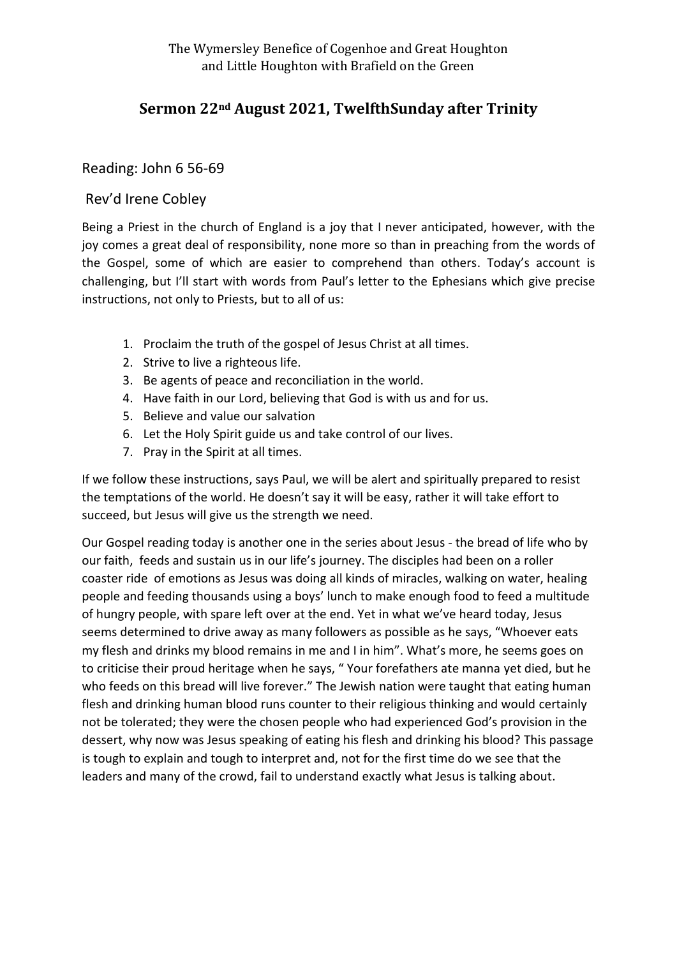## **Sermon 22nd August 2021, TwelfthSunday after Trinity**

## Reading: John 6 56-69

## Rev'd Irene Cobley

Being a Priest in the church of England is a joy that I never anticipated, however, with the joy comes a great deal of responsibility, none more so than in preaching from the words of the Gospel, some of which are easier to comprehend than others. Today's account is challenging, but I'll start with words from Paul's letter to the Ephesians which give precise instructions, not only to Priests, but to all of us:

- 1. Proclaim the truth of the gospel of Jesus Christ at all times.
- 2. Strive to live a righteous life.
- 3. Be agents of peace and reconciliation in the world.
- 4. Have faith in our Lord, believing that God is with us and for us.
- 5. Believe and value our salvation
- 6. Let the Holy Spirit guide us and take control of our lives.
- 7. Pray in the Spirit at all times.

If we follow these instructions, says Paul, we will be alert and spiritually prepared to resist the temptations of the world. He doesn't say it will be easy, rather it will take effort to succeed, but Jesus will give us the strength we need.

Our Gospel reading today is another one in the series about Jesus - the bread of life who by our faith, feeds and sustain us in our life's journey. The disciples had been on a roller coaster ride of emotions as Jesus was doing all kinds of miracles, walking on water, healing people and feeding thousands using a boys' lunch to make enough food to feed a multitude of hungry people, with spare left over at the end. Yet in what we've heard today, Jesus seems determined to drive away as many followers as possible as he says, "Whoever eats my flesh and drinks my blood remains in me and I in him". What's more, he seems goes on to criticise their proud heritage when he says, " Your forefathers ate manna yet died, but he who feeds on this bread will live forever." The Jewish nation were taught that eating human flesh and drinking human blood runs counter to their religious thinking and would certainly not be tolerated; they were the chosen people who had experienced God's provision in the dessert, why now was Jesus speaking of eating his flesh and drinking his blood? This passage is tough to explain and tough to interpret and, not for the first time do we see that the leaders and many of the crowd, fail to understand exactly what Jesus is talking about.